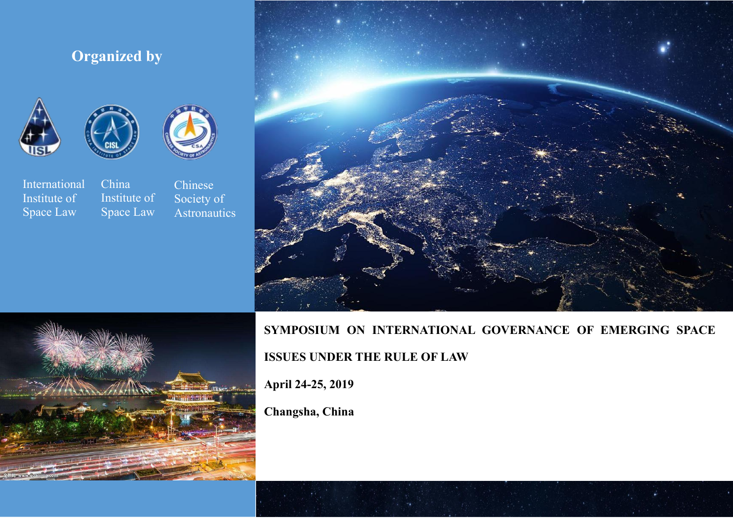# **Organized by**







International China<br>Institute of Institu Institute of Institute of<br>Space Law Space Law



**SYMPOSIUM ON INTERNATIONAL GOVERNANCE OF EMERGING SPACE ISSUES UNDER THE RULE OF LAW**

**April 24-25, 2019**

**Changsha, China**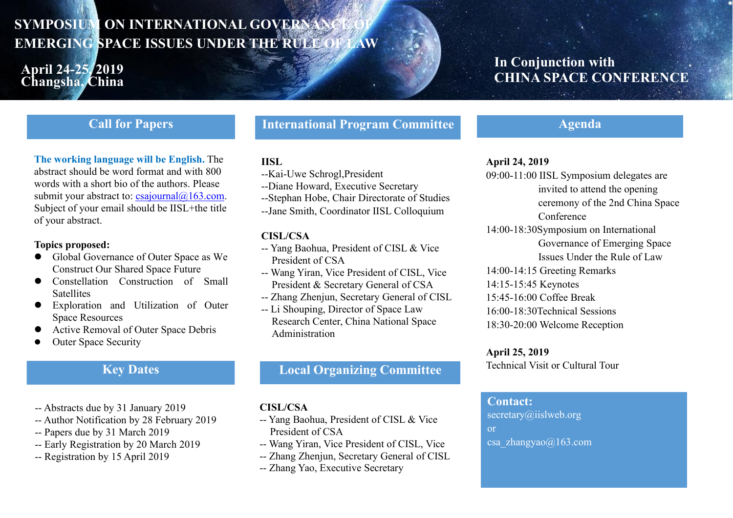# **SYMPOSIUM ON INTERNATIONAL GOVERNAN EMERGING SPACE ISSUES UNDER THE RULE OF LAW**

# **April 24-25, 2019 Changsha, China**

# **In Conjunction with CHINA SPACE CONFERENCE**

# **Call for Papers**

#### **The working language will be English.**The abstract should be word format and with 800 words with a short bio of the authors. Please submit your abstract to:  $csajournal@163.com$ . Subject of your email should be IISL+the title of your abstract.

#### **Topics proposed:**

- Global Governance of Outer Space as We Construct Our Shared Space Future
- Constellation Construction of Small **Satellites**
- Exploration and Utilization of Outer Space Resources
- Active Removal of Outer Space Debris
- Outer Space Security

# **Key Dates**

- -- Abstracts due by 31 January 2019
- -- Author Notification by 28 February 2019
- -- Papers due by 31 March 2019
- -- Early Registration by 20 March 2019
- -- Registration by 15 April 2019

**International Program Committee**

### **IISL**

- --Kai-Uwe Schrogl,President
- --Diane Howard, Executive Secretary
- --Stephan Hobe, Chair Directorate of Studies
- --Jane Smith, Coordinator IISL Colloquium

#### **CISL/CSA**

- -- Yang Baohua, President of CISL & Vice President of CSA
- -- Wang Yiran, Vice President of CISL, Vice President & Secretary General of CSA
- -- Zhang Zhenjun, Secretary General of CISL
- -- Li Shouping, Director of Space Law Research Center, China National Space Administration

## **Local Organizing Committee**

#### **CISL/CSA**

- -- Yang Baohua, President of CISL & Vice President of CSA
- -- Wang Yiran, Vice President of CISL, Vice
- -- Zhang Zhenjun, Secretary General of CISL
- -- Zhang Yao, Executive Secretary

# **Agenda**

#### **April 24, 2019**

- 09:00-11:00 IISL Symposium delegates are invited to attend the opening ceremony of the 2nd China Space Conference
- 14:00-18:30Symposium on International Governance of Emerging Space Issues Under the Rule of Law
- 14:00-14:15 Greeting Remarks
- 14:15-15:45 Keynotes
- 15:45-16:00 Coffee Break
- 16:00-18:30Technical Sessions 18:30-20:00 Welcome Reception

### **April 25, 2019**

Technical Visit or Cultural Tour

### **Contact:**

[secretary@iislweb.org](mailto:secretary@iislweb.org) or csa\_zhangyao@163.com